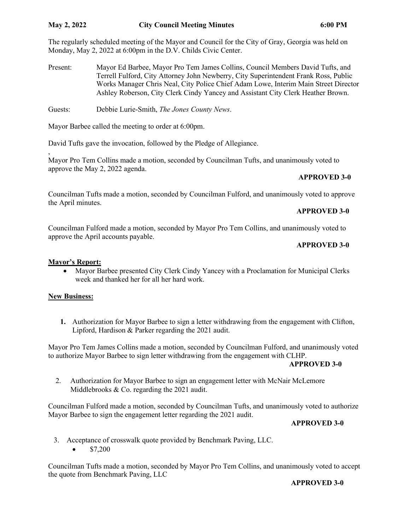,

The regularly scheduled meeting of the Mayor and Council for the City of Gray, Georgia was held on Monday, May 2, 2022 at 6:00pm in the D.V. Childs Civic Center.

- Present: Mayor Ed Barbee, Mayor Pro Tem James Collins, Council Members David Tufts, and Terrell Fulford, City Attorney John Newberry, City Superintendent Frank Ross, Public Works Manager Chris Neal, City Police Chief Adam Lowe, Interim Main Street Director Ashley Roberson, City Clerk Cindy Yancey and Assistant City Clerk Heather Brown.
- Guests: Debbie Lurie-Smith, *The Jones County News*.

Mayor Barbee called the meeting to order at 6:00pm.

David Tufts gave the invocation, followed by the Pledge of Allegiance.

Mayor Pro Tem Collins made a motion, seconded by Councilman Tufts, and unanimously voted to approve the May 2, 2022 agenda.

# **APPROVED 3-0**

Councilman Tufts made a motion, seconded by Councilman Fulford, and unanimously voted to approve the April minutes.

### **APPROVED 3-0**

Councilman Fulford made a motion, seconded by Mayor Pro Tem Collins, and unanimously voted to approve the April accounts payable.

#### **APPROVED 3-0**

### **Mayor's Report:**

• Mayor Barbee presented City Clerk Cindy Yancey with a Proclamation for Municipal Clerks week and thanked her for all her hard work.

#### **New Business:**

**1.** Authorization for Mayor Barbee to sign a letter withdrawing from the engagement with Clifton, Lipford, Hardison & Parker regarding the 2021 audit.

Mayor Pro Tem James Collins made a motion, seconded by Councilman Fulford, and unanimously voted to authorize Mayor Barbee to sign letter withdrawing from the engagement with CLHP.

#### **APPROVED 3-0**

 2. Authorization for Mayor Barbee to sign an engagement letter with McNair McLemore Middlebrooks & Co. regarding the 2021 audit.

Councilman Fulford made a motion, seconded by Councilman Tufts, and unanimously voted to authorize Mayor Barbee to sign the engagement letter regarding the 2021 audit.

#### **APPROVED 3-0**

 3. Acceptance of crosswalk quote provided by Benchmark Paving, LLC. •  $$7,200$ 

Councilman Tufts made a motion, seconded by Mayor Pro Tem Collins, and unanimously voted to accept the quote from Benchmark Paving, LLC

# **APPROVED 3-0**